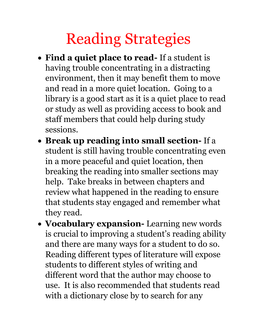## Reading Strategies

- **Find a quiet place to read-** If a student is having trouble concentrating in a distracting environment, then it may benefit them to move and read in a more quiet location. Going to a library is a good start as it is a quiet place to read or study as well as providing access to book and staff members that could help during study sessions.
- **Break up reading into small section-** If a student is still having trouble concentrating even in a more peaceful and quiet location, then breaking the reading into smaller sections may help. Take breaks in between chapters and review what happened in the reading to ensure that students stay engaged and remember what they read.
- **Vocabulary expansion-** Learning new words is crucial to improving a student's reading ability and there are many ways for a student to do so. Reading different types of literature will expose students to different styles of writing and different word that the author may choose to use. It is also recommended that students read with a dictionary close by to search for any